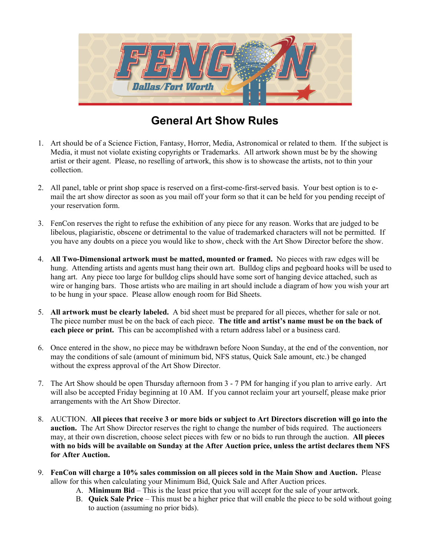

# **General Art Show Rules**

- 1. Art should be of a Science Fiction, Fantasy, Horror, Media, Astronomical or related to them. If the subject is Media, it must not violate existing copyrights or Trademarks. All artwork shown must be by the showing artist or their agent. Please, no reselling of artwork, this show is to showcase the artists, not to thin your collection.
- 2. All panel, table or print shop space is reserved on a first-come-first-served basis. Your best option is to email the art show director as soon as you mail off your form so that it can be held for you pending receipt of your reservation form.
- 3. FenCon reserves the right to refuse the exhibition of any piece for any reason. Works that are judged to be libelous, plagiaristic, obscene or detrimental to the value of trademarked characters will not be permitted. If you have any doubts on a piece you would like to show, check with the Art Show Director before the show.
- 4. **All Two-Dimensional artwork must be matted, mounted or framed.** No pieces with raw edges will be hung. Attending artists and agents must hang their own art. Bulldog clips and pegboard hooks will be used to hang art. Any piece too large for bulldog clips should have some sort of hanging device attached, such as wire or hanging bars. Those artists who are mailing in art should include a diagram of how you wish your art to be hung in your space. Please allow enough room for Bid Sheets.
- 5. **All artwork must be clearly labeled.** A bid sheet must be prepared for all pieces, whether for sale or not. The piece number must be on the back of each piece. **The title and artist's name must be on the back of each piece or print.** This can be accomplished with a return address label or a business card.
- 6. Once entered in the show, no piece may be withdrawn before Noon Sunday, at the end of the convention, nor may the conditions of sale (amount of minimum bid, NFS status, Quick Sale amount, etc.) be changed without the express approval of the Art Show Director.
- 7. The Art Show should be open Thursday afternoon from 3 7 PM for hanging if you plan to arrive early. Art will also be accepted Friday beginning at 10 AM. If you cannot reclaim your art yourself, please make prior arrangements with the Art Show Director.
- 8. AUCTION. **All pieces that receive 3 or more bids or subject to Art Directors discretion will go into the auction.** The Art Show Director reserves the right to change the number of bids required. The auctioneers may, at their own discretion, choose select pieces with few or no bids to run through the auction. **All pieces with no bids will be available on Sunday at the After Auction price, unless the artist declares them NFS for After Auction.**
- 9. **FenCon will charge a 10% sales commission on all pieces sold in the Main Show and Auction.** Please allow for this when calculating your Minimum Bid, Quick Sale and After Auction prices.
	- A. **Minimum Bid** This is the least price that you will accept for the sale of your artwork.
	- B. **Quick Sale Price** This must be a higher price that will enable the piece to be sold without going to auction (assuming no prior bids).